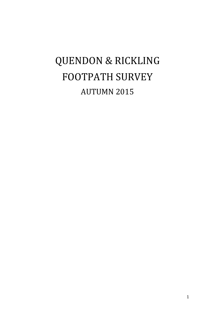# QUENDON & RICKLING FOOTPATH SURVEY AUTUMN 2015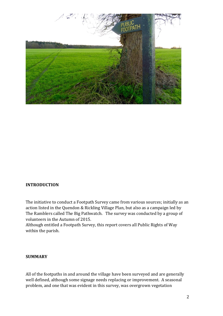

#### **INTRODUCTION**

The initiative to conduct a Footpath Survey came from various sources; initially as an action listed in the Quendon & Rickling Village Plan, but also as a campaign led by The Ramblers called The Big Pathwatch. The survey was conducted by a group of volunteers in the Autumn of 2015.

Although entitled a Footpath Survey, this report covers all Public Rights of Way within the parish.

#### **SUMMARY**

All of the footpaths in and around the village have been surveyed and are generally well defined, although some signage needs replacing or improvement. A seasonal problem, and one that was evident in this survey, was overgrown vegetation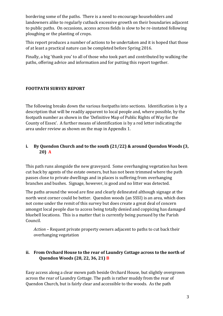bordering some of the paths. There is a need to encourage householders and landowners alike to regularly cutback excessive growth on their boundaries adjacent to public paths. On occasions, access across fields is slow to be re-instated following ploughing or the planting of crops.

This report produces a number of actions to be undertaken and it is hoped that those of at least a practical nature can be completed before Spring 2016.

Finally, a big 'thank you' to all of those who took part and contributed by walking the paths, offering advice and information and for putting this report together.

# **FOOTPATH SURVEY REPORT**

The following breaks down the various footpaths into sections. Identification is by a description that will be readily apparent to local people and, where possible, by the footpath number as shown in the 'Definitive Map of Public Rights of Way for the County of Essex'. A further means of identification is by a red letter indicating the area under review as shown on the map in Appendix 1.

# **i. By Quendon Church and to the south (21/22) & around Quendon Woods (3, 20) A**

This path runs alongside the new graveyard. Some overhanging vegetation has been cut back by agents of the estate owners, but has not been trimmed where the path passes close to private dwellings and in places is suffering from overhanging branches and bushes. Signage, however, is good and no litter was detected.

The paths around the wood are fine and clearly delineated although signage at the north west corner could be better. Quendon woods (an SSSI) is an area, which does not come under the remit of this survey but does create a great deal of concern amongst local people due to access being totally denied and coppicing has damaged bluebell locations. This is a matter that is currently being pursued by the Parish Council.

*Action* – Request private property owners adjacent to paths to cut back their overhanging vegetation

# **ii. From Orchard House to the rear of Laundry Cottage across to the north of Quendon Woods (28, 22, 36, 21) B**

Easy access along a clear mown path beside Orchard House, but slightly overgrown across the rear of Laundry Cottage. The path is rather muddy from the rear of Quendon Church, but is fairly clear and accessible to the woods. As the path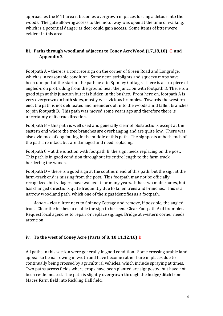approaches the M11 area it becomes overgrown in places forcing a detour into the woods. The gate allowing access to the motorway was open at the time of walking, which is a potential danger as deer could gain access. Some items of litter were evident in this area.

# **iii. Paths through woodland adjacent to Coney AcreWood (17,18,10) C and Appendix 2**

Footpath A – there is a concrete sign on the corner of Green Road and Longridge, which is in reasonable condition. Some neon striplights and squeezy mops have been dumped at the start of the path next to Spinney Cottage. There is also a piece of angled-iron protruding from the ground near the junction with footpath D. There is a good sign at this junction but it is hidden in the bushes. From here on, footpath A is very overgrown on both sides, mostly with vicious brambles. Towards the western end, the path is not delineated and meanders off into the woods amid fallen branches to join footpath B. This path was moved some years ago and therefore there is uncertainty of its true direction.

Footpath B – this path is well used and generally clear of obstructions except at the eastern end where the tree branches are overhanging and are quite low. There was also evidence of dog fouling in the middle of this path. The signposts at both ends of the path are intact, but are damaged and need replacing.

Footpath C – at the junction with footpath B, the sign needs replacing on the post. This path is in good condition throughout its entire length to the farm track bordering the woods.

Footpath D – there is a good sign at the southern end of this path, but the sign at the farm-track end is missing from the post. This footpath may not be officially recognized, but villagers have walked it for many years. It has two main routes, but has changed directions quite frequently due to fallen trees and branches. This is a narrow woodland path, which one of the signs identifies as a footpath.

*Action* – clear litter next to Spinney Cottage and remove, if possible, the angled iron. Clear the bushes to enable the sign to be seen. Clear Footpath A of brambles. Request local agencies to repair or replace signage. Bridge at western corner needs attention

# **iv. To the west of Coney Acre (Parts of 8, 10,11,12,16) D**

All paths in this section were generally in good condition. Some crossing arable land appear to be narrowing in width and have become rather bare in places due to continually being crossed by agricultural vehicles, which include spraying at times. Two paths across fields where crops have been planted are signposted but have not been re-delineated. The path is slightly overgrown through the hedge/ditch from Maces Farm field into Rickling Hall field.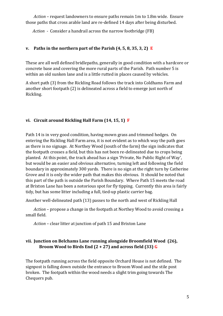*Action* – request landowners to ensure paths remain 1m to 1.8m wide. Ensure those paths that cross arable land are re-defined 14 days after being disturbed.

*Action* - Consider a handrail across the narrow footbridge (FB)

### **v. Paths in the northern part of the Parish (4, 5, 8, 35, 3, 2) E**

These are all well defined bridlepaths, generally in good condition with a hardcore or concrete base and covering the more rural parts of the Parish. Path number 5 is within an old sunken lane and is a little rutted in places caused by vehicles.

A short path (3) from the Rickling Road follows the track into Coldhams Farm and another short footpath (2) is delineated across a field to emerge just north of Rickling.

# **vi. Circuit around Rickling Hall Farm (14, 15, 1) F**

Path 14 is in very good condition, having mown grass and trimmed hedges. On entering the Rickling Hall Farm area, it is not evident as to which way the path goes as there is no signage. At Northey Wood (south of the farm) the sign indicates that the footpath crosses a field, but this has not been re-delineated due to crops being planted. At this point, the track ahead has a sign 'Private, No Public Right of Way', but would be an easier and obvious alternative, turning left and following the field boundary in approximately 300 yards. There is no sign at the right turn by Catherine Grove and it is only the wider path that makes this obvious. It should be noted that this part of the path is outside the Parish Boundary. Where Path 15 meets the road at Brixton Lane has been a notorious spot for fly tipping. Currently this area is fairly tidy, but has some litter including a full, tied-up plastic carrier bag.

Another well-delineated path (13) passes to the north and west of Rickling Hall

*Action* – propose a change in the footpath at Northey Wood to avoid crossing a small field.

*Action* – clear litter at junction of path 15 and Brixton Lane

### **vii. Junction on Belchams Lane running alongside Broomfield Wood (26), Broom Wood to Birds End (2 + 27) and across field (33) G**

The footpath running across the field opposite Orchard House is not defined. The signpost is falling down outside the entrance to Broom Wood and the stile post broken. The footpath within the wood needs a slight trim going towards The Chequers pub.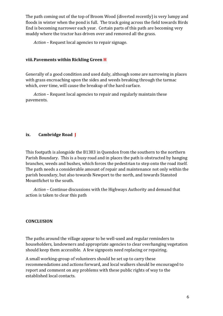The path coming out of the top of Broom Wood (diverted recently) is very lumpy and floods in winter when the pond is full. The track going across the field towards Birds End is becoming narrower each year. Certain parts of this path are becoming very muddy where the tractor has driven over and removed all the grass.

*Action* – Request local agencies to repair signage.

#### **viii.Pavements within Rickling Green H**

Generally of a good condition and used daily, although some are narrowing in places with grass encroaching upon the sides and weeds breaking through the tarmac which, over time, will cause the breakup of the hard surface.

*Action* – Request local agencies to repair and regularly maintain these pavements.

#### **ix. Cambridge Road J**

This footpath is alongside the B1383 in Quendon from the southern to the northern Parish Boundary. This is a busy road and in places the path is obstructed by hanging branches, weeds and bushes, which forces the pedestrian to step onto the road itself. The path needs a considerable amount of repair and maintenance not only within the parish boundary, but also towards Newport to the north, and towards Stansted Mountfichet to the south.

*Action* – Continue discussions with the Highways Authority and demand that action is taken to clear this path

#### **CONCLUSION**

The paths around the village appear to be well-used and regular reminders to householders, landowners and appropriate agencies to clear overhanging vegetation should keep them accessible. A few signposts need replacing or repairing.

A small working-group of volunteers should be set up to carry these recommendations and actions forward, and local walkers should be encouraged to report and comment on any problems with these public rights of way to the established local contacts.